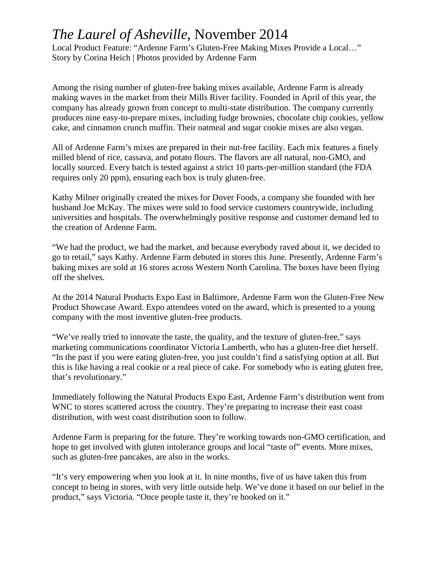## *The Laurel of Asheville*, November 2014

Local Product Feature: "Ardenne Farm's Gluten-Free Making Mixes Provide a Local…" Story by Corina Heich | Photos provided by Ardenne Farm

Among the rising number of gluten-free baking mixes available, Ardenne Farm is already making waves in the market from their Mills River facility. Founded in April of this year, the company has already grown from concept to multi-state distribution. The company currently produces nine easy-to-prepare mixes, including fudge brownies, chocolate chip cookies, yellow cake, and cinnamon crunch muffin. Their oatmeal and sugar cookie mixes are also vegan.

All of Ardenne Farm's mixes are prepared in their nut-free facility. Each mix features a finely milled blend of rice, cassava, and potato flours. The flavors are all natural, non-GMO, and locally sourced. Every batch is tested against a strict 10 parts-per-million standard (the FDA requires only 20 ppm), ensuring each box is truly gluten-free.

Kathy Milner originally created the mixes for Dover Foods, a company she founded with her husband Joe McKay. The mixes were sold to food service customers countrywide, including universities and hospitals. The overwhelmingly positive response and customer demand led to the creation of Ardenne Farm.

"We had the product, we had the market, and because everybody raved about it, we decided to go to retail," says Kathy. Ardenne Farm debuted in stores this June. Presently, Ardenne Farm's baking mixes are sold at 16 stores across Western North Carolina. The boxes have been flying off the shelves.

At the 2014 Natural Products Expo East in Baltimore, Ardenne Farm won the Gluten-Free New Product Showcase Award. Expo attendees voted on the award, which is presented to a young company with the most inventive gluten-free products.

"We've really tried to innovate the taste, the quality, and the texture of gluten-free," says marketing communications coordinator Victoria Lamberth, who has a gluten-free diet herself. "In the past if you were eating gluten-free, you just couldn't find a satisfying option at all. But this is like having a real cookie or a real piece of cake. For somebody who is eating gluten free, that's revolutionary."

Immediately following the Natural Products Expo East, Ardenne Farm's distribution went from WNC to stores scattered across the country. They're preparing to increase their east coast distribution, with west coast distribution soon to follow.

Ardenne Farm is preparing for the future. They're working towards non-GMO certification, and hope to get involved with gluten intolerance groups and local "taste of" events. More mixes, such as gluten-free pancakes, are also in the works.

"It's very empowering when you look at it. In nine months, five of us have taken this from concept to being in stores, with very little outside help. We've done it based on our belief in the product," says Victoria. "Once people taste it, they're hooked on it."